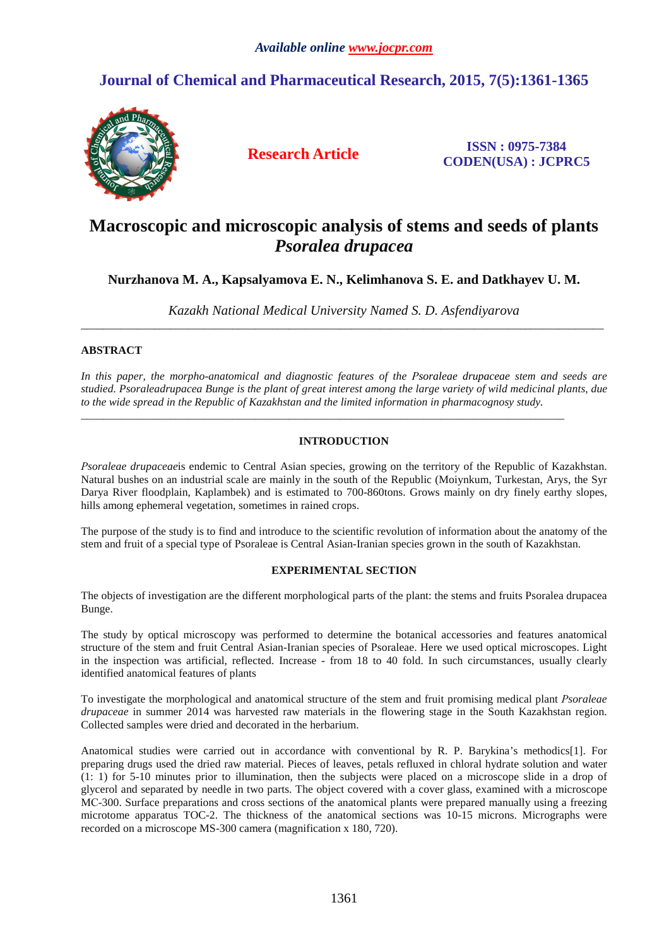## **Journal of Chemical and Pharmaceutical Research, 2015, 7(5):1361-1365**



**Research Article ISSN : 0975-7384 CODEN(USA) : JCPRC5**

# **Macroscopic and microscopic analysis of stems and seeds of plants**  *Psoralea drupacea*

**Nurzhanova M. A., Kapsalyamova E. N., Kelimhanova S. E. and Datkhayev U. M.** 

*Kazakh National Medical University Named S. D. Asfendiyarova*  \_\_\_\_\_\_\_\_\_\_\_\_\_\_\_\_\_\_\_\_\_\_\_\_\_\_\_\_\_\_\_\_\_\_\_\_\_\_\_\_\_\_\_\_\_\_\_\_\_\_\_\_\_\_\_\_\_\_\_\_\_\_\_\_\_\_\_\_\_\_\_\_\_\_\_\_\_\_\_\_\_\_\_\_\_\_\_\_\_\_\_\_\_

## **ABSTRACT**

*In this paper, the morpho-anatomical and diagnostic features of the Psoraleae drupaceae stem and seeds are studied. Psoraleadrupacea Bunge is the plant of great interest among the large variety of wild medicinal plants, due to the wide spread in the Republic of Kazakhstan and the limited information in pharmacognosy study.* 

## **INTRODUCTION**

\_\_\_\_\_\_\_\_\_\_\_\_\_\_\_\_\_\_\_\_\_\_\_\_\_\_\_\_\_\_\_\_\_\_\_\_\_\_\_\_\_\_\_\_\_\_\_\_\_\_\_\_\_\_\_\_\_\_\_\_\_\_\_\_\_\_\_\_\_\_\_\_\_\_\_\_\_\_\_\_\_\_\_\_\_\_

*Psoraleae drupaceaeis* endemic to Central Asian species, growing on the territory of the Republic of Kazakhstan. Natural bushes on an industrial scale are mainly in the south of the Republic (Moiynkum, Turkestan, Arys, the Syr Darya River floodplain, Kaplambek) and is estimated to 700-860tons. Grows mainly on dry finely earthy slopes, hills among ephemeral vegetation, sometimes in rained crops.

The purpose of the study is to find and introduce to the scientific revolution of information about the anatomy of the stem and fruit of a special type of Рsoraleae is Central Asian-Iranian species grown in the south of Kazakhstan.

## **EXPERIMENTAL SECTION**

The objects of investigation are the different morphological parts of the plant: the stems and fruits Psoralea drupacea Bunge.

The study by optical microscopy was performed to determine the botanical accessories and features anatomical structure of the stem and fruit Central Asian-Iranian species of Рsoraleae. Here we used optical microscopes. Light in the inspection was artificial, reflected. Increase - from 18 to 40 fold. In such circumstances, usually clearly identified anatomical features of plants

To investigate the morphological and anatomical structure of the stem and fruit promising medical plant *Рsoraleae drupaceae* in summer 2014 was harvested raw materials in the flowering stage in the South Kazakhstan region. Collected samples were dried and decorated in the herbarium.

Anatomical studies were carried out in accordance with conventional by R. P. Barykina's methodics[1]. For preparing drugs used the dried raw material. Pieces of leaves, petals refluxed in chloral hydrate solution and water (1: 1) for 5-10 minutes prior to illumination, then the subjects were placed on a microscope slide in a drop of glycerol and separated by needle in two parts. The object covered with a cover glass, examined with a microscope MС-300. Surface preparations and cross sections of the anatomical plants were prepared manually using a freezing microtome apparatus TOC-2. The thickness of the anatomical sections was 10-15 microns. Micrographs were recorded on a microscope MS-300 camera (magnification x 180, 720).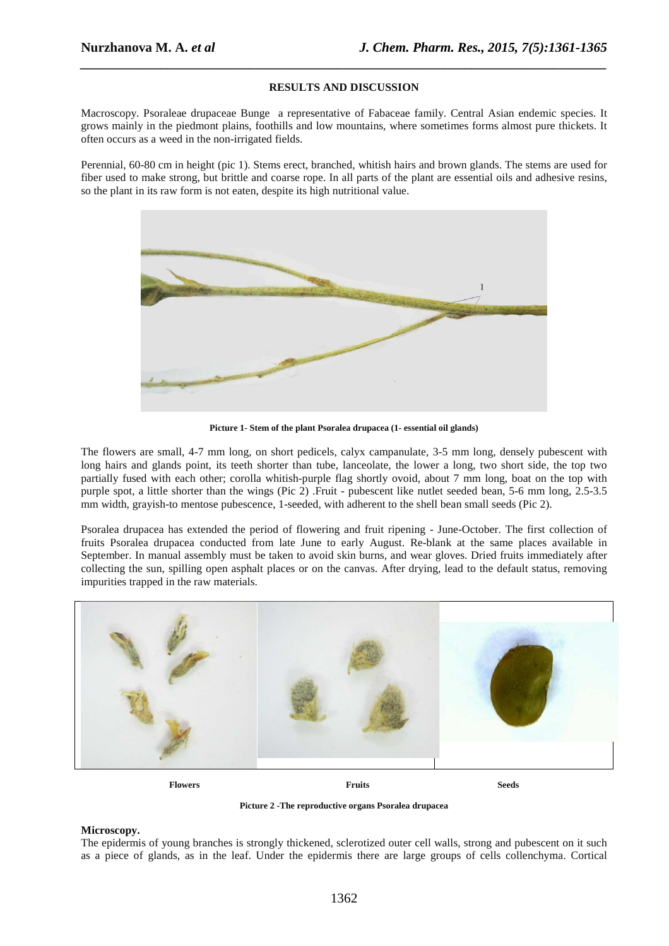#### **RESULTS AND DISCUSSION**

*\_\_\_\_\_\_\_\_\_\_\_\_\_\_\_\_\_\_\_\_\_\_\_\_\_\_\_\_\_\_\_\_\_\_\_\_\_\_\_\_\_\_\_\_\_\_\_\_\_\_\_\_\_\_\_\_\_\_\_\_\_\_\_\_\_\_\_\_\_\_\_\_\_\_\_\_\_\_*

Macroscopy. Psoraleae drupaceae Bunge a representative of Fabaceae family. Central Asian endemic species. It grows mainly in the piedmont plains, foothills and low mountains, where sometimes forms almost pure thickets. It often occurs as a weed in the non-irrigated fields.

Perennial, 60-80 cm in height (pic 1). Stems erect, branched, whitish hairs and brown glands. The stems are used for fiber used to make strong, but brittle and coarse rope. In all parts of the plant are essential oils and adhesive resins, so the plant in its raw form is not eaten, despite its high nutritional value.



**Picture 1- Stem of the plant Psoralea drupacea (1- essential oil glands)** 

The flowers are small, 4-7 mm long, on short pedicels, calyx campanulate, 3-5 mm long, densely pubescent with long hairs and glands point, its teeth shorter than tube, lanceolate, the lower a long, two short side, the top two partially fused with each other; corolla whitish-purple flag shortly ovoid, about 7 mm long, boat on the top with purple spot, a little shorter than the wings (Pic 2) .Fruit - pubescent like nutlet seeded bean, 5-6 mm long, 2.5-3.5 mm width, grayish-to mentose pubescence, 1-seeded, with adherent to the shell bean small seeds (Pic 2).

Psoralea drupacea has extended the period of flowering and fruit ripening - June-October. The first collection of fruits Psoralea drupacea conducted from late June to early August. Re-blank at the same places available in September. In manual assembly must be taken to avoid skin burns, and wear gloves. Dried fruits immediately after collecting the sun, spilling open asphalt places or on the canvas. After drying, lead to the default status, removing impurities trapped in the raw materials.



**Flowers Fruits Seeds** 

**Picture 2 -The reproductive organs Psoralea drupacea** 

#### **Microscopy.**

The epidermis of young branches is strongly thickened, sclerotized outer cell walls, strong and pubescent on it such as a piece of glands, as in the leaf. Under the epidermis there are large groups of cells collenchyma. Cortical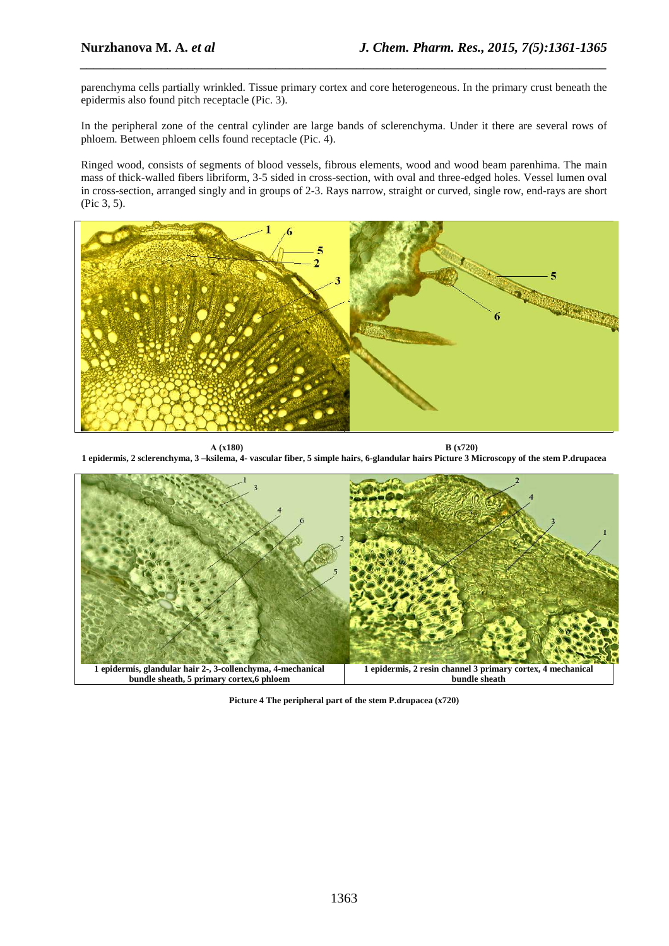parenchyma cells partially wrinkled. Tissue primary cortex and core heterogeneous. In the primary crust beneath the epidermis also found pitch receptacle (Pic. 3).

*\_\_\_\_\_\_\_\_\_\_\_\_\_\_\_\_\_\_\_\_\_\_\_\_\_\_\_\_\_\_\_\_\_\_\_\_\_\_\_\_\_\_\_\_\_\_\_\_\_\_\_\_\_\_\_\_\_\_\_\_\_\_\_\_\_\_\_\_\_\_\_\_\_\_\_\_\_\_*

In the peripheral zone of the central cylinder are large bands of sclerenchyma. Under it there are several rows of phloem. Between phloem cells found receptacle (Pic. 4).

Ringed wood, consists of segments of blood vessels, fibrous elements, wood and wood beam parenhima. The main mass of thick-walled fibers libriform, 3-5 sided in cross-section, with oval and three-edged holes. Vessel lumen oval in cross-section, arranged singly and in groups of 2-3. Rays narrow, straight or curved, single row, end-rays are short (Pic 3, 5).



**А (х180) B (х720) 1 epidermis, 2 sclerenchyma, 3 –ksilema, 4- vascular fiber, 5 simple hairs, 6-glandular hairs Picture 3 Microscopy of the stem P.drupacea** 



**Picture 4 The peripheral part of the stem P.drupacea (x720)**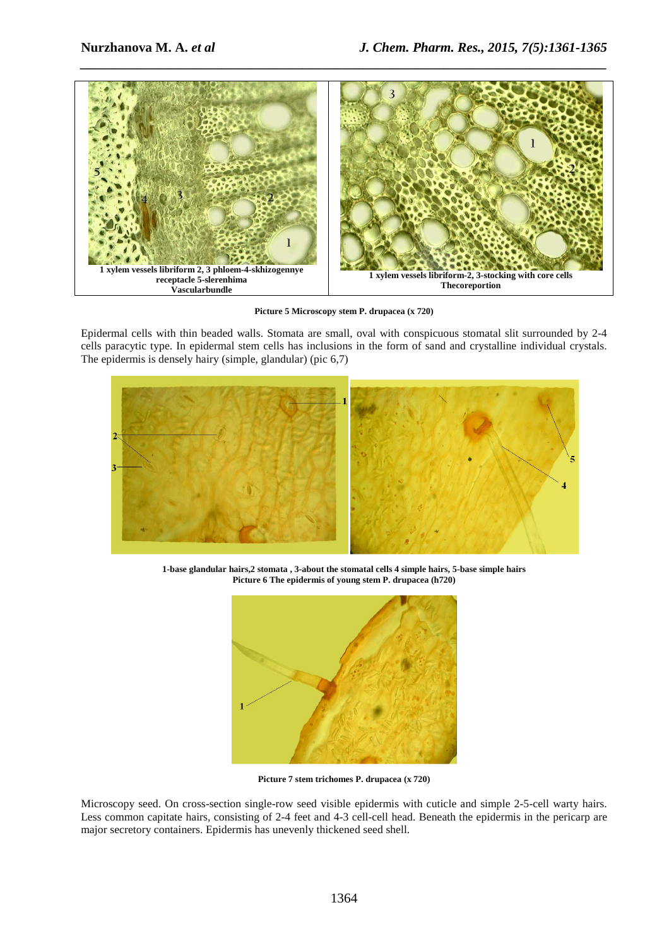

**Picture 5 Microscopy stem P. drupacea (x 720)** 

Epidermal cells with thin beaded walls. Stomata are small, oval with conspicuous stomatal slit surrounded by 2-4 cells paracytic type. In epidermal stem cells has inclusions in the form of sand and crystalline individual crystals. The epidermis is densely hairy (simple, glandular) (pic 6,7)



**1-base glandular hairs,2 stomata , 3-about the stomatal cells 4 simple hairs, 5-base simple hairs Picture 6 The epidermis of young stem P. drupacea (h720)** 



**Picture 7 stem trichomes P. drupacea (x 720)** 

Microscopy seed. On cross-section single-row seed visible epidermis with cuticle and simple 2-5-cell warty hairs. Less common capitate hairs, consisting of 2-4 feet and 4-3 cell-cell head. Beneath the epidermis in the pericarp are major secretory containers. Epidermis has unevenly thickened seed shell.